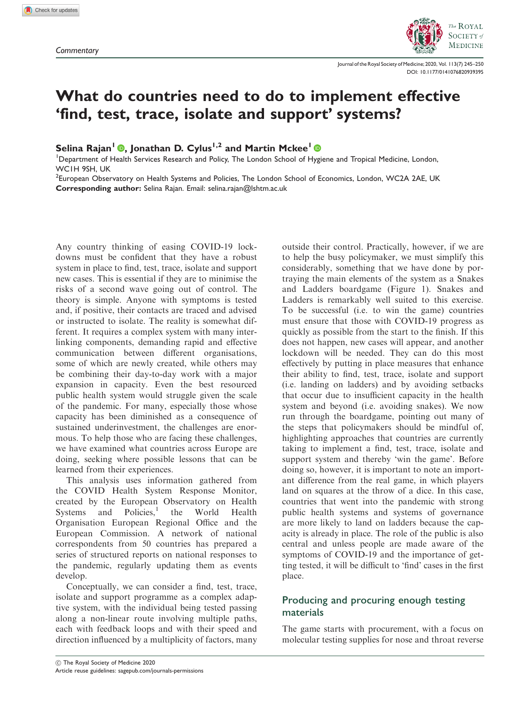

Journal of the Royal Society of Medicine; 2020, Vol. 113(7) 245–250 [DOI: 10.1177/0141076820939395](https://doi.org/10.1177/0141076820939395)

# What do countries need to do to implement effective 'find, test, trace, isolate and support' systems?

Selina Rajan<sup>1</sup> <sup>(1</sup>), Jonathan D. Cylus<sup>1,2</sup> and Martin Mckee<sup>1</sup>

<sup>1</sup>Department of Health Services Research and Policy, The London School of Hygiene and Tropical Medicine, London, WC1H 9SH, UK

 $^2$ European Observatory on Health Systems and Policies, The London School of Economics, London, WC2A 2AE, UK Corresponding author: Selina Rajan. Email: selina.rajan@lshtm.ac.uk

Any country thinking of easing COVID-19 lockdowns must be confident that they have a robust system in place to find, test, trace, isolate and support new cases. This is essential if they are to minimise the risks of a second wave going out of control. The theory is simple. Anyone with symptoms is tested and, if positive, their contacts are traced and advised or instructed to isolate. The reality is somewhat different. It requires a complex system with many interlinking components, demanding rapid and effective communication between different organisations, some of which are newly created, while others may be combining their day-to-day work with a major expansion in capacity. Even the best resourced public health system would struggle given the scale of the pandemic. For many, especially those whose capacity has been diminished as a consequence of sustained underinvestment, the challenges are enormous. To help those who are facing these challenges, we have examined what countries across Europe are doing, seeking where possible lessons that can be learned from their experiences.

This analysis uses information gathered from the COVID Health System Response Monitor, created by the European Observatory on Health Systems and Policies,<sup>1</sup> the World Health Organisation European Regional Office and the European Commission. A network of national correspondents from 50 countries has prepared a series of structured reports on national responses to the pandemic, regularly updating them as events develop.

Conceptually, we can consider a find, test, trace, isolate and support programme as a complex adaptive system, with the individual being tested passing along a non-linear route involving multiple paths, each with feedback loops and with their speed and direction influenced by a multiplicity of factors, many

outside their control. Practically, however, if we are to help the busy policymaker, we must simplify this considerably, something that we have done by portraying the main elements of the system as a Snakes and Ladders boardgame (Figure 1). Snakes and Ladders is remarkably well suited to this exercise. To be successful (i.e. to win the game) countries must ensure that those with COVID-19 progress as quickly as possible from the start to the finish. If this does not happen, new cases will appear, and another lockdown will be needed. They can do this most effectively by putting in place measures that enhance their ability to find, test, trace, isolate and support (i.e. landing on ladders) and by avoiding setbacks that occur due to insufficient capacity in the health system and beyond (i.e. avoiding snakes). We now run through the boardgame, pointing out many of the steps that policymakers should be mindful of, highlighting approaches that countries are currently taking to implement a find, test, trace, isolate and support system and thereby 'win the game'. Before doing so, however, it is important to note an important difference from the real game, in which players land on squares at the throw of a dice. In this case, countries that went into the pandemic with strong public health systems and systems of governance are more likely to land on ladders because the capacity is already in place. The role of the public is also central and unless people are made aware of the symptoms of COVID-19 and the importance of getting tested, it will be difficult to 'find' cases in the first place.

## Producing and procuring enough testing materials

The game starts with procurement, with a focus on molecular testing supplies for nose and throat reverse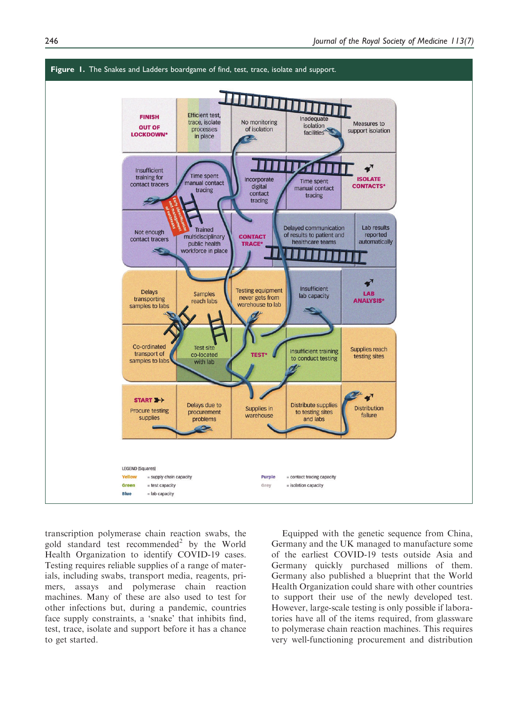

transcription polymerase chain reaction swabs, the gold standard test recommended<sup>2</sup> by the World Health Organization to identify COVID-19 cases. Testing requires reliable supplies of a range of materials, including swabs, transport media, reagents, primers, assays and polymerase chain reaction machines. Many of these are also used to test for other infections but, during a pandemic, countries face supply constraints, a 'snake' that inhibits find, test, trace, isolate and support before it has a chance to get started.

Equipped with the genetic sequence from China, Germany and the UK managed to manufacture some of the earliest COVID-19 tests outside Asia and Germany quickly purchased millions of them. Germany also published a blueprint that the World Health Organization could share with other countries to support their use of the newly developed test. However, large-scale testing is only possible if laboratories have all of the items required, from glassware to polymerase chain reaction machines. This requires very well-functioning procurement and distribution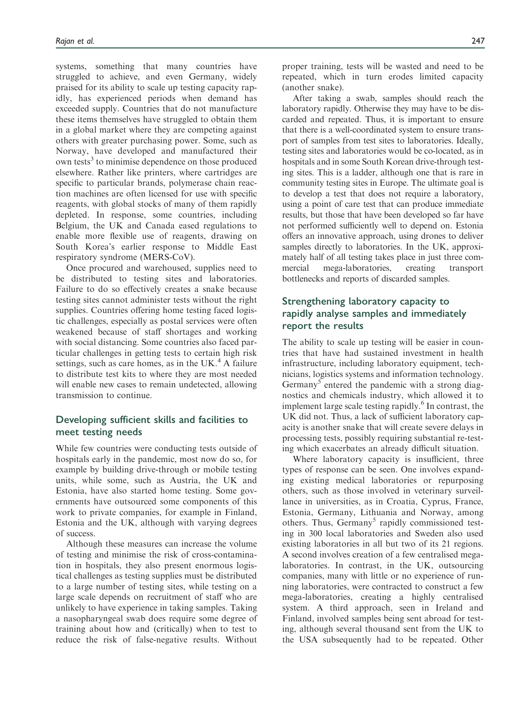systems, something that many countries have struggled to achieve, and even Germany, widely praised for its ability to scale up testing capacity rapidly, has experienced periods when demand has exceeded supply. Countries that do not manufacture these items themselves have struggled to obtain them in a global market where they are competing against others with greater purchasing power. Some, such as Norway, have developed and manufactured their own tests<sup>3</sup> to minimise dependence on those produced elsewhere. Rather like printers, where cartridges are specific to particular brands, polymerase chain reaction machines are often licensed for use with specific reagents, with global stocks of many of them rapidly depleted. In response, some countries, including Belgium, the UK and Canada eased regulations to enable more flexible use of reagents, drawing on South Korea's earlier response to Middle East respiratory syndrome (MERS-CoV).

Once procured and warehoused, supplies need to be distributed to testing sites and laboratories. Failure to do so effectively creates a snake because testing sites cannot administer tests without the right supplies. Countries offering home testing faced logistic challenges, especially as postal services were often weakened because of staff shortages and working with social distancing. Some countries also faced particular challenges in getting tests to certain high risk settings, such as care homes, as in the UK $<sup>4</sup>$ A failure</sup> to distribute test kits to where they are most needed will enable new cases to remain undetected, allowing transmission to continue.

#### Developing sufficient skills and facilities to meet testing needs

While few countries were conducting tests outside of hospitals early in the pandemic, most now do so, for example by building drive-through or mobile testing units, while some, such as Austria, the UK and Estonia, have also started home testing. Some governments have outsourced some components of this work to private companies, for example in Finland, Estonia and the UK, although with varying degrees of success.

Although these measures can increase the volume of testing and minimise the risk of cross-contamination in hospitals, they also present enormous logistical challenges as testing supplies must be distributed to a large number of testing sites, while testing on a large scale depends on recruitment of staff who are unlikely to have experience in taking samples. Taking a nasopharyngeal swab does require some degree of training about how and (critically) when to test to reduce the risk of false-negative results. Without

proper training, tests will be wasted and need to be repeated, which in turn erodes limited capacity (another snake).

After taking a swab, samples should reach the laboratory rapidly. Otherwise they may have to be discarded and repeated. Thus, it is important to ensure that there is a well-coordinated system to ensure transport of samples from test sites to laboratories. Ideally, testing sites and laboratories would be co-located, as in hospitals and in some South Korean drive-through testing sites. This is a ladder, although one that is rare in community testing sites in Europe. The ultimate goal is to develop a test that does not require a laboratory, using a point of care test that can produce immediate results, but those that have been developed so far have not performed sufficiently well to depend on. Estonia offers an innovative approach, using drones to deliver samples directly to laboratories. In the UK, approximately half of all testing takes place in just three commercial mega-laboratories, creating transport bottlenecks and reports of discarded samples.

#### Strengthening laboratory capacity to rapidly analyse samples and immediately report the results

The ability to scale up testing will be easier in countries that have had sustained investment in health infrastructure, including laboratory equipment, technicians, logistics systems and information technology. Germany<sup>5</sup> entered the pandemic with a strong diagnostics and chemicals industry, which allowed it to implement large scale testing rapidly. $6$  In contrast, the UK did not. Thus, a lack of sufficient laboratory capacity is another snake that will create severe delays in processing tests, possibly requiring substantial re-testing which exacerbates an already difficult situation.

Where laboratory capacity is insufficient, three types of response can be seen. One involves expanding existing medical laboratories or repurposing others, such as those involved in veterinary surveillance in universities, as in Croatia, Cyprus, France, Estonia, Germany, Lithuania and Norway, among others. Thus, Germany<sup>5</sup> rapidly commissioned testing in 300 local laboratories and Sweden also used existing laboratories in all but two of its 21 regions. A second involves creation of a few centralised megalaboratories. In contrast, in the UK, outsourcing companies, many with little or no experience of running laboratories, were contracted to construct a few mega-laboratories, creating a highly centralised system. A third approach, seen in Ireland and Finland, involved samples being sent abroad for testing, although several thousand sent from the UK to the USA subsequently had to be repeated. Other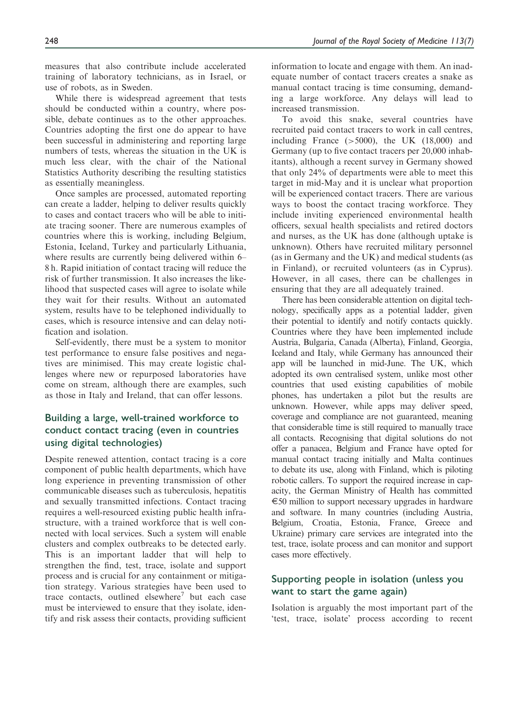measures that also contribute include accelerated training of laboratory technicians, as in Israel, or use of robots, as in Sweden.

While there is widespread agreement that tests should be conducted within a country, where possible, debate continues as to the other approaches. Countries adopting the first one do appear to have been successful in administering and reporting large numbers of tests, whereas the situation in the UK is much less clear, with the chair of the National Statistics Authority describing the resulting statistics as essentially meaningless.

Once samples are processed, automated reporting can create a ladder, helping to deliver results quickly to cases and contact tracers who will be able to initiate tracing sooner. There are numerous examples of countries where this is working, including Belgium, Estonia, Iceland, Turkey and particularly Lithuania, where results are currently being delivered within 6– 8 h. Rapid initiation of contact tracing will reduce the risk of further transmission. It also increases the likelihood that suspected cases will agree to isolate while they wait for their results. Without an automated system, results have to be telephoned individually to cases, which is resource intensive and can delay notification and isolation.

Self-evidently, there must be a system to monitor test performance to ensure false positives and negatives are minimised. This may create logistic challenges where new or repurposed laboratories have come on stream, although there are examples, such as those in Italy and Ireland, that can offer lessons.

### Building a large, well-trained workforce to conduct contact tracing (even in countries using digital technologies)

Despite renewed attention, contact tracing is a core component of public health departments, which have long experience in preventing transmission of other communicable diseases such as tuberculosis, hepatitis and sexually transmitted infections. Contact tracing requires a well-resourced existing public health infrastructure, with a trained workforce that is well connected with local services. Such a system will enable clusters and complex outbreaks to be detected early. This is an important ladder that will help to strengthen the find, test, trace, isolate and support process and is crucial for any containment or mitigation strategy. Various strategies have been used to trace contacts, outlined elsewhere<sup>7</sup> but each case must be interviewed to ensure that they isolate, identify and risk assess their contacts, providing sufficient information to locate and engage with them. An inadequate number of contact tracers creates a snake as manual contact tracing is time consuming, demanding a large workforce. Any delays will lead to increased transmission.

To avoid this snake, several countries have recruited paid contact tracers to work in call centres, including France  $(>5000)$ , the UK  $(18,000)$  and Germany (up to five contact tracers per 20,000 inhabitants), although a recent survey in Germany showed that only 24% of departments were able to meet this target in mid-May and it is unclear what proportion will be experienced contact tracers. There are various ways to boost the contact tracing workforce. They include inviting experienced environmental health officers, sexual health specialists and retired doctors and nurses, as the UK has done (although uptake is unknown). Others have recruited military personnel (as in Germany and the UK) and medical students (as in Finland), or recruited volunteers (as in Cyprus). However, in all cases, there can be challenges in ensuring that they are all adequately trained.

There has been considerable attention on digital technology, specifically apps as a potential ladder, given their potential to identify and notify contacts quickly. Countries where they have been implemented include Austria, Bulgaria, Canada (Alberta), Finland, Georgia, Iceland and Italy, while Germany has announced their app will be launched in mid-June. The UK, which adopted its own centralised system, unlike most other countries that used existing capabilities of mobile phones, has undertaken a pilot but the results are unknown. However, while apps may deliver speed, coverage and compliance are not guaranteed, meaning that considerable time is still required to manually trace all contacts. Recognising that digital solutions do not offer a panacea, Belgium and France have opted for manual contact tracing initially and Malta continues to debate its use, along with Finland, which is piloting robotic callers. To support the required increase in capacity, the German Ministry of Health has committed  $\epsilon$ 50 million to support necessary upgrades in hardware and software. In many countries (including Austria, Belgium, Croatia, Estonia, France, Greece and Ukraine) primary care services are integrated into the test, trace, isolate process and can monitor and support cases more effectively.

### Supporting people in isolation (unless you want to start the game again)

Isolation is arguably the most important part of the 'test, trace, isolate' process according to recent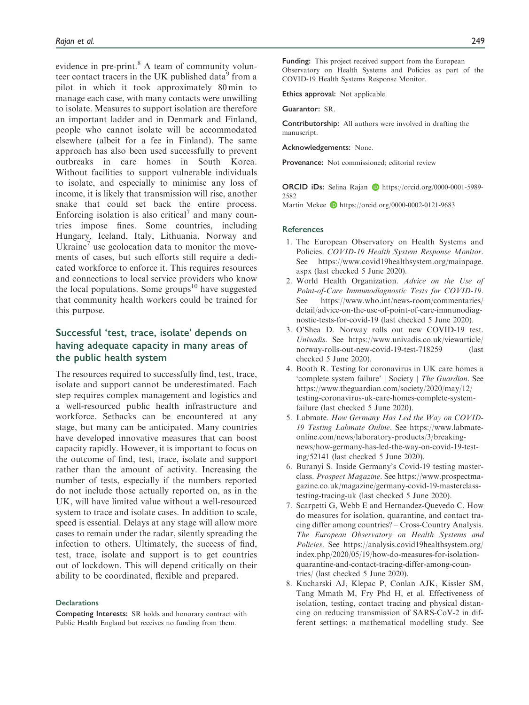evidence in pre-print. $8$  A team of community volunteer contact tracers in the UK published data<sup>9</sup> from a pilot in which it took approximately 80 min to manage each case, with many contacts were unwilling to isolate. Measures to support isolation are therefore an important ladder and in Denmark and Finland, people who cannot isolate will be accommodated elsewhere (albeit for a fee in Finland). The same approach has also been used successfully to prevent outbreaks in care homes in South Korea. Without facilities to support vulnerable individuals to isolate, and especially to minimise any loss of income, it is likely that transmission will rise, another snake that could set back the entire process. Enforcing isolation is also critical<sup>7</sup> and many countries impose fines. Some countries, including Hungary, Iceland, Italy, Lithuania, Norway and Ukraine' use geolocation data to monitor the movements of cases, but such efforts still require a dedicated workforce to enforce it. This requires resources and connections to local service providers who know the local populations. Some groups $10$  have suggested that community health workers could be trained for this purpose.

## Successful 'test, trace, isolate' depends on having adequate capacity in many areas of the public health system

The resources required to successfully find, test, trace, isolate and support cannot be underestimated. Each step requires complex management and logistics and a well-resourced public health infrastructure and workforce. Setbacks can be encountered at any stage, but many can be anticipated. Many countries have developed innovative measures that can boost capacity rapidly. However, it is important to focus on the outcome of find, test, trace, isolate and support rather than the amount of activity. Increasing the number of tests, especially if the numbers reported do not include those actually reported on, as in the UK, will have limited value without a well-resourced system to trace and isolate cases. In addition to scale, speed is essential. Delays at any stage will allow more cases to remain under the radar, silently spreading the infection to others. Ultimately, the success of find, test, trace, isolate and support is to get countries out of lockdown. This will depend critically on their ability to be coordinated, flexible and prepared.

#### **Declarations**

Competing Interests: SR holds and honorary contract with Public Health England but receives no funding from them.

Funding: This project received support from the European Observatory on Health Systems and Policies as part of the COVID-19 Health Systems Response Monitor.

Ethics approval: Not applicable.

Guarantor: SR.

Contributorship: All authors were involved in drafting the manuscript.

Acknowledgements: None.

Provenance: Not commissioned; editorial review

ORCID iDs: Selina Rajan iD [https://orcid.org/0000-0001-5989-](https://orcid.org/0000-0001-5989-2582) [2582](https://orcid.org/0000-0001-5989-2582)

Martin Mckee **b** <https://orcid.org/0000-0002-0121-9683>

#### **References**

- 1. The European Observatory on Health Systems and Policies. COVID-19 Health System Response Monitor. See [https://www.covid19healthsystem.org/mainpage.](https://www.covid19healthsystem.org/mainpage.aspx) [aspx](https://www.covid19healthsystem.org/mainpage.aspx) (last checked 5 June 2020).
- 2. World Health Organization. Advice on the Use of Point-of-Care Immunodiagnostic Tests for COVID-19. See [https://www.who.int/news-room/commentaries/](https://www.who.int/news-room/commentaries/detail/advice-on-the-use-of-point-of-care-immunodiagnostic-tests-for-covid-19) [detail/advice-on-the-use-of-point-of-care-immunodiag](https://www.who.int/news-room/commentaries/detail/advice-on-the-use-of-point-of-care-immunodiagnostic-tests-for-covid-19)[nostic-tests-for-covid-19](https://www.who.int/news-room/commentaries/detail/advice-on-the-use-of-point-of-care-immunodiagnostic-tests-for-covid-19) (last checked 5 June 2020).
- 3. O'Shea D. Norway rolls out new COVID-19 test. Univadis. See [https://www.univadis.co.uk/viewarticle/](https://www.univadis.co.uk/viewarticle/norway-rolls-out-new-covid-19-test-718259) [norway-rolls-out-new-covid-19-test-718259](https://www.univadis.co.uk/viewarticle/norway-rolls-out-new-covid-19-test-718259) checked 5 June 2020).
- 4. Booth R. Testing for coronavirus in UK care homes a 'complete system failure' | Society | The Guardian. See [https://www.theguardian.com/society/2020/may/12/](https://www.theguardian.com/society/2020/may/12/testing-coronavirus-uk-care-homes-complete-system-failure) [testing-coronavirus-uk-care-homes-complete-system](https://www.theguardian.com/society/2020/may/12/testing-coronavirus-uk-care-homes-complete-system-failure)[failure](https://www.theguardian.com/society/2020/may/12/testing-coronavirus-uk-care-homes-complete-system-failure) (last checked 5 June 2020).
- 5. Labmate. How Germany Has Led the Way on COVID-19 Testing Labmate Online. See [https://www.labmate](https://www.labmate-online.com/news/laboratory-products/3/breaking-news/how-germany-has-led-the-way-on-covid-19-testing/52141)[online.com/news/laboratory-products/3/breaking](https://www.labmate-online.com/news/laboratory-products/3/breaking-news/how-germany-has-led-the-way-on-covid-19-testing/52141)[news/how-germany-has-led-the-way-on-covid-19-test](https://www.labmate-online.com/news/laboratory-products/3/breaking-news/how-germany-has-led-the-way-on-covid-19-testing/52141)[ing/52141](https://www.labmate-online.com/news/laboratory-products/3/breaking-news/how-germany-has-led-the-way-on-covid-19-testing/52141) (last checked 5 June 2020).
- 6. Buranyi S. Inside Germany's Covid-19 testing masterclass. Prospect Magazine. See [https://www.prospectma](https://www.prospectmagazine.co.uk/magazine/germany-covid-19-masterclass-testing-tracing-uk)[gazine.co.uk/magazine/germany-covid-19-masterclass](https://www.prospectmagazine.co.uk/magazine/germany-covid-19-masterclass-testing-tracing-uk)[testing-tracing-uk](https://www.prospectmagazine.co.uk/magazine/germany-covid-19-masterclass-testing-tracing-uk) (last checked 5 June 2020).
- 7. Scarpetti G, Webb E and Hernandez-Quevedo C. How do measures for isolation, quarantine, and contact tracing differ among countries? – Cross-Country Analysis. The European Observatory on Health Systems and Policies. See [https://analysis.covid19healthsystem.org/](https://analysis.covid19healthsystem.org/index.php/2020/05/19/how-do-measures-for-isolation-quarantine-and-contact-tracing-differ-among-countries/) [index.php/2020/05/19/how-do-measures-for-isolation](https://analysis.covid19healthsystem.org/index.php/2020/05/19/how-do-measures-for-isolation-quarantine-and-contact-tracing-differ-among-countries/)[quarantine-and-contact-tracing-differ-among-coun](https://analysis.covid19healthsystem.org/index.php/2020/05/19/how-do-measures-for-isolation-quarantine-and-contact-tracing-differ-among-countries/)[tries/](https://analysis.covid19healthsystem.org/index.php/2020/05/19/how-do-measures-for-isolation-quarantine-and-contact-tracing-differ-among-countries/) (last checked 5 June 2020).
- 8. Kucharski AJ, Klepac P, Conlan AJK, Kissler SM, Tang Mmath M, Fry Phd H, et al. Effectiveness of isolation, testing, contact tracing and physical distancing on reducing transmission of SARS-CoV-2 in different settings: a mathematical modelling study. See